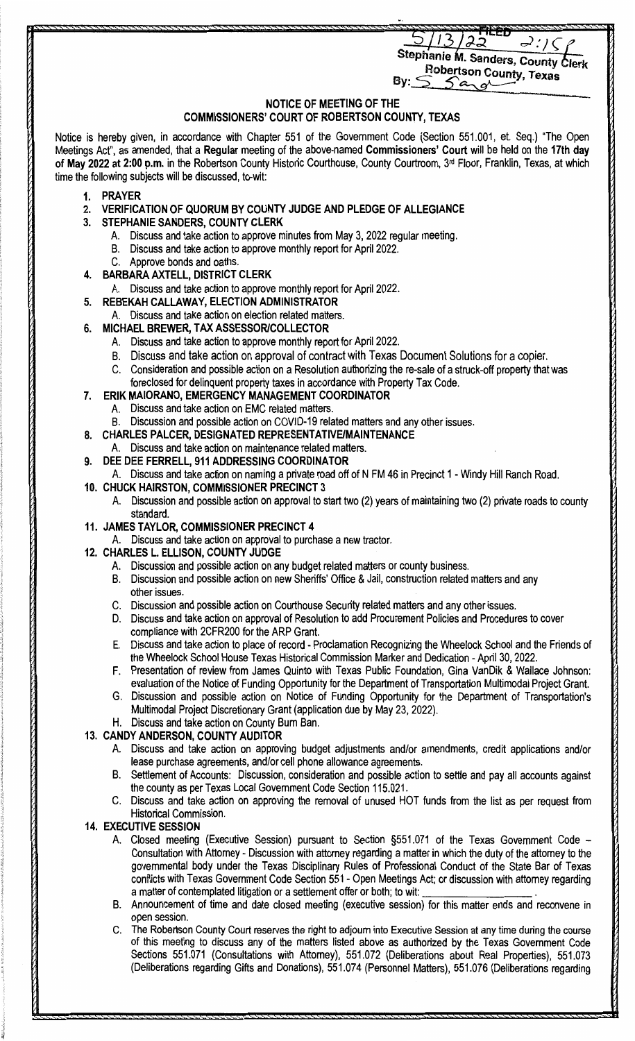ລ  $\prec$  : / (

**Stephanie M. Sanders, County Clerk By:** Sobertson County, Texas

**NOTICE OF MEETING OF THE** 

## **COMMISSIONERS' COURT OF ROBERTSON COUNTY, TEXAS**

Notice is hereby given, in accordance with Chapter 551 of the Government Code (Section 551.001, et. Seq.) "The Open Meetings Act", as amended, that a **Regular** meeting of the above-named **Commissioners' Court** will be held on the **17th day**  of May 2022 at 2:00 p.m. in the Robertson County Historic Courthouse, County Courtroom, 3<sup>rd</sup> Floor, Franklin, Texas, at which time the following subjects will be discussed, to-wit:

- **1. PRAYER**
- **2. VERIFICATION OF QUORUM BY COUNTY JUDGE AND PLEDGE OF ALLEGIANCE**
- **3. STEPHANIE SANDERS, COUNTY CLERK** 
	- A. Discuss and take action to approve minutes from May 3, 2022 regular meeting.
	- B. Discuss and take action to approve monthly report for April 2022.
	- C. Approve bonds and oaths.
- **4. BARBARA AXTELL, DISTRICT CLERK** 
	- A. Discuss and take action to approve monthly report for April 2022.
- **5. REBEKAH CALLAWAY, ELECTION ADMINISTRATOR** 
	- A. Discuss and take action on election related matters.
- **6. MICHAEL BREWER, TAX ASSESSOR/COLLECTOR** 
	- A. Discuss and take action to approve monthly report for April 2022.
	- B. Discuss and take action on approval of contract with Texas Document Solutions for a copier.
	- C. Consideration and possible action on a Resolution authorizing the re-sale of a struck-off property that was foreclosed for delinquent property taxes in accordance with Property Tax Code.
- **7. ERIK MAIORANO, EMERGENCY MANAGEMENT COORDINATOR** 
	- A. Discuss and take action on EMC related matters.
	- B. Discussion and possible action on COVID-19 related matters and any other issues.
- **8. CHARLES PALCER, DESIGNATED REPRESENTATIVE/MAINTENANCE**
- A. Discuss and take action on maintenance related matters.
- **9. DEE DEE FERRELL, 911 ADDRESSING COORDINATOR**
- A. Discuss and take action on naming a private road off of N FM 46 in Precinct 1 Windy Hill Ranch Road.
- **10. CHUCK HAIRSTON, COMMISSIONER PRECINCT 3** 
	- A. Discussion and possible action on approval to start two (2) years of maintaining two (2) private roads to county standard.
- **11. JAMES TAYLOR, COMMISSIONER PRECINCT 4** 
	- A. Discuss and take action on approval to purchase a new tractor.
- **12. CHARLES L. ELLISON, COUNTY JUDGE** 
	- A. Discussion and possible action on any budget related matters or county business.
	- B. Discussion and possible action on new Sheriffs' Office & Jail, construction related matters and any other issues.
	- C. Discussion and possible action on Courthouse Security related matters and any other issues.
	- D. Discuss and take action on approval of Resolution to add Procurement Policies and Procedures to cover compliance with 2CFR200 for the ARP Grant.
	- E. Discuss and take action to place of record Proclamation Recognizing the Wheelock School and the Friends of the Wheelock School House Texas Historical Commission Marker and Dedication - April 30, 2022.
	- F. Presentation of review from James Quinto with Texas Public Foundation, Gina VanDik & Wallace Johnson: evaluation of the Notice of Funding Opportunity for the Department of Transportation Multimodal Project Grant.
	- G. Discussion and possible action on Notice of Funding Opportunity for the Department of Transportation's Multimodal Project Discretionary Grant (application due by May 23, 2022).
	- H. Discuss and take action on County Bum Ban.

## **13. CANDY ANDERSON, COUNTY AUDITOR**

- A. Discuss and take action on approving budget adjustments and/or amendments, credit applications and/or lease purchase agreements, and/or cell phone allowance agreements.
- B. Settlement of Accounts: Discussion, consideration and possible action to settle and pay all accounts against the county as per Texas Local Government Code Section 115.021.
- C. Discuss and take action on approving the removal of unused HOT funds from the list as per request from Historical Commission.

## **14. EXECUTIVE SESSION**

- A. Closed meeting (Executive Session) pursuant to Section §551.071 of the Texas Government Code Consultation with Attorney - Discussion with attorney regarding a matter in which the duty of the attorney to the governmental body under the Texas Disciplinary Rules of Professional Conduct of the State Bar of Texas conflicts with Texas Government Code Section 551 - Open Meetings Act; or discussion with attorney regarding<br>a matter of contemplated litigation or a settlement offer or both; to wit: \_\_\_\_\_\_\_\_\_\_\_\_\_\_\_\_\_\_\_\_\_\_\_\_\_\_\_\_.
- B. Announcement of time and date closed meeting (executive session) for this matter ends and reconvene in open session.
- C. The Robertson County Court reserves the right to adjourn into Executive Session at any time during the course of this meeting to discuss any of the matters listed above as authorized by the Texas Government Code Sections 551.071 (Consultations with Attorney), 551.072 (Deliberations about Real Properties), 551.073 (Deliberations regarding Gifts and Donations), 551.074 (Personnel Matters), 551.076 (Deliberations regarding